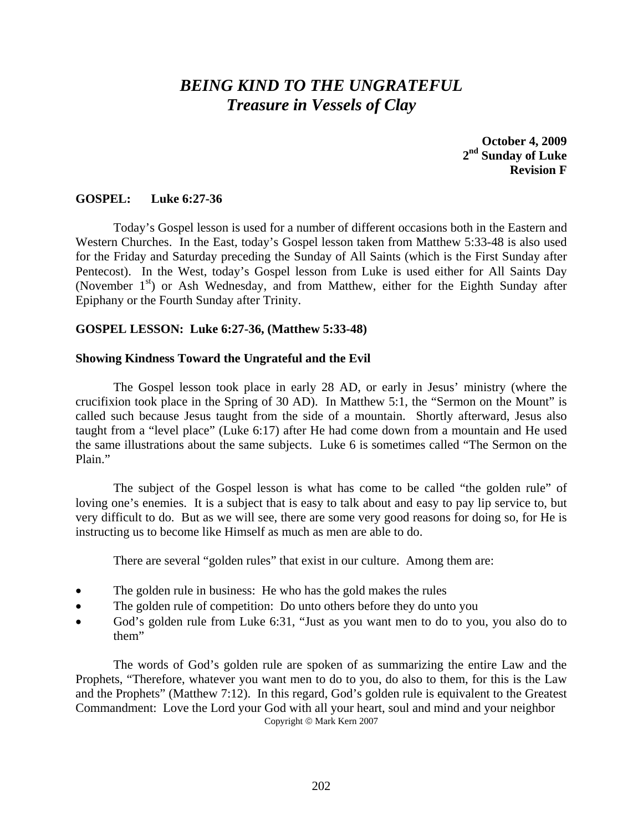# *BEING KIND TO THE UNGRATEFUL Treasure in Vessels of Clay*

**October 4, 2009 2nd Sunday of Luke Revision F** 

## **GOSPEL: Luke 6:27-36**

 Today's Gospel lesson is used for a number of different occasions both in the Eastern and Western Churches. In the East, today's Gospel lesson taken from Matthew 5:33-48 is also used for the Friday and Saturday preceding the Sunday of All Saints (which is the First Sunday after Pentecost). In the West, today's Gospel lesson from Luke is used either for All Saints Day (November  $1<sup>st</sup>$ ) or Ash Wednesday, and from Matthew, either for the Eighth Sunday after Epiphany or the Fourth Sunday after Trinity.

### **GOSPEL LESSON: Luke 6:27-36, (Matthew 5:33-48)**

### **Showing Kindness Toward the Ungrateful and the Evil**

 The Gospel lesson took place in early 28 AD, or early in Jesus' ministry (where the crucifixion took place in the Spring of 30 AD). In Matthew 5:1, the "Sermon on the Mount" is called such because Jesus taught from the side of a mountain. Shortly afterward, Jesus also taught from a "level place" (Luke 6:17) after He had come down from a mountain and He used the same illustrations about the same subjects. Luke 6 is sometimes called "The Sermon on the Plain."

 The subject of the Gospel lesson is what has come to be called "the golden rule" of loving one's enemies. It is a subject that is easy to talk about and easy to pay lip service to, but very difficult to do. But as we will see, there are some very good reasons for doing so, for He is instructing us to become like Himself as much as men are able to do.

There are several "golden rules" that exist in our culture. Among them are:

- The golden rule in business: He who has the gold makes the rules
- The golden rule of competition: Do unto others before they do unto you
- God's golden rule from Luke 6:31, "Just as you want men to do to you, you also do to them"

The words of God's golden rule are spoken of as summarizing the entire Law and the Prophets, "Therefore, whatever you want men to do to you, do also to them, for this is the Law and the Prophets" (Matthew 7:12). In this regard, God's golden rule is equivalent to the Greatest Commandment: Love the Lord your God with all your heart, soul and mind and your neighbor Copyright © Mark Kern 2007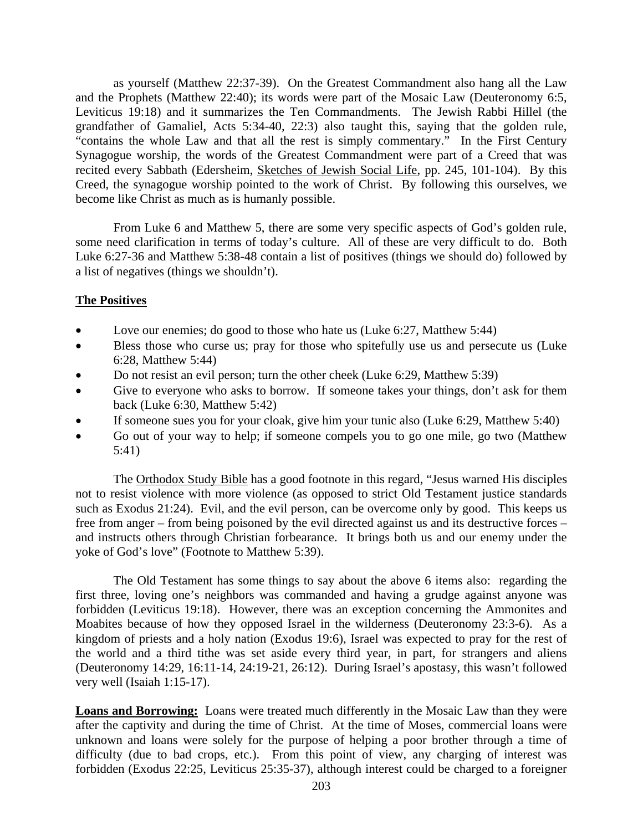as yourself (Matthew 22:37-39). On the Greatest Commandment also hang all the Law and the Prophets (Matthew 22:40); its words were part of the Mosaic Law (Deuteronomy 6:5, Leviticus 19:18) and it summarizes the Ten Commandments. The Jewish Rabbi Hillel (the grandfather of Gamaliel, Acts 5:34-40, 22:3) also taught this, saying that the golden rule, "contains the whole Law and that all the rest is simply commentary." In the First Century Synagogue worship, the words of the Greatest Commandment were part of a Creed that was recited every Sabbath (Edersheim, Sketches of Jewish Social Life, pp. 245, 101-104). By this Creed, the synagogue worship pointed to the work of Christ. By following this ourselves, we become like Christ as much as is humanly possible.

From Luke 6 and Matthew 5, there are some very specific aspects of God's golden rule, some need clarification in terms of today's culture. All of these are very difficult to do. Both Luke 6:27-36 and Matthew 5:38-48 contain a list of positives (things we should do) followed by a list of negatives (things we shouldn't).

## **The Positives**

- Love our enemies; do good to those who hate us (Luke 6:27, Matthew 5:44)
- Bless those who curse us; pray for those who spitefully use us and persecute us (Luke 6:28, Matthew 5:44)
- Do not resist an evil person; turn the other cheek (Luke 6:29, Matthew 5:39)
- Give to everyone who asks to borrow. If someone takes your things, don't ask for them back (Luke 6:30, Matthew 5:42)
- If someone sues you for your cloak, give him your tunic also (Luke 6:29, Matthew 5:40)
- Go out of your way to help; if someone compels you to go one mile, go two (Matthew 5:41)

The Orthodox Study Bible has a good footnote in this regard, "Jesus warned His disciples not to resist violence with more violence (as opposed to strict Old Testament justice standards such as Exodus 21:24). Evil, and the evil person, can be overcome only by good. This keeps us free from anger – from being poisoned by the evil directed against us and its destructive forces – and instructs others through Christian forbearance. It brings both us and our enemy under the yoke of God's love" (Footnote to Matthew 5:39).

 The Old Testament has some things to say about the above 6 items also: regarding the first three, loving one's neighbors was commanded and having a grudge against anyone was forbidden (Leviticus 19:18). However, there was an exception concerning the Ammonites and Moabites because of how they opposed Israel in the wilderness (Deuteronomy 23:3-6). As a kingdom of priests and a holy nation (Exodus 19:6), Israel was expected to pray for the rest of the world and a third tithe was set aside every third year, in part, for strangers and aliens (Deuteronomy 14:29, 16:11-14, 24:19-21, 26:12). During Israel's apostasy, this wasn't followed very well (Isaiah 1:15-17).

**Loans and Borrowing:** Loans were treated much differently in the Mosaic Law than they were after the captivity and during the time of Christ. At the time of Moses, commercial loans were unknown and loans were solely for the purpose of helping a poor brother through a time of difficulty (due to bad crops, etc.). From this point of view, any charging of interest was forbidden (Exodus 22:25, Leviticus 25:35-37), although interest could be charged to a foreigner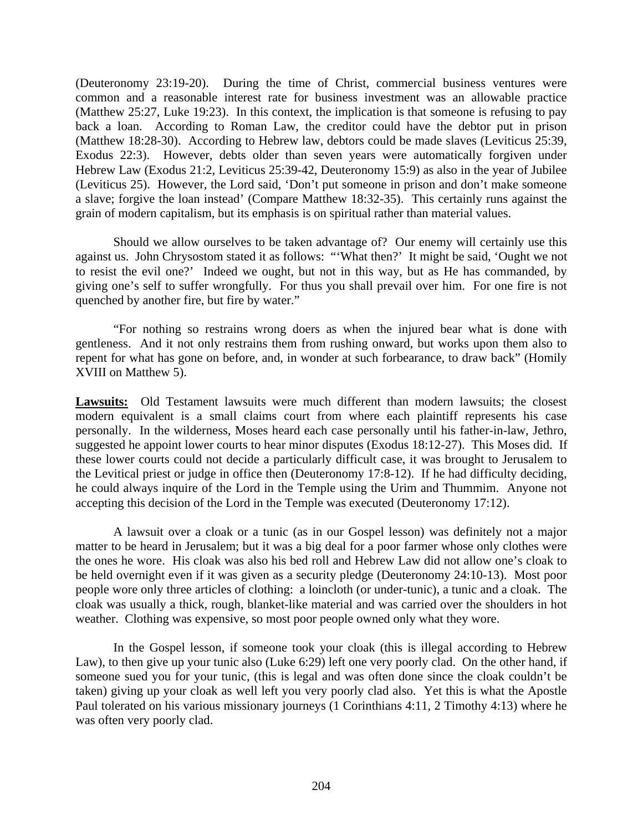(Deuteronomy 23:19-20). During the time of Christ, commercial business ventures were common and a reasonable interest rate for business investment was an allowable practice (Matthew 25:27, Luke 19:23). In this context, the implication is that someone is refusing to pay back a loan. According to Roman Law, the creditor could have the debtor put in prison (Matthew 18:28-30). According to Hebrew law, debtors could be made slaves (Leviticus 25:39, Exodus 22:3). However, debts older than seven years were automatically forgiven under Hebrew Law (Exodus 21:2, Leviticus 25:39-42, Deuteronomy 15:9) as also in the year of Jubilee (Leviticus 25). However, the Lord said, 'Don't put someone in prison and don't make someone a slave; forgive the loan instead' (Compare Matthew 18:32-35). This certainly runs against the grain of modern capitalism, but its emphasis is on spiritual rather than material values.

 Should we allow ourselves to be taken advantage of? Our enemy will certainly use this against us. John Chrysostom stated it as follows: "'What then?' It might be said, 'Ought we not to resist the evil one?' Indeed we ought, but not in this way, but as He has commanded, by giving one's self to suffer wrongfully. For thus you shall prevail over him. For one fire is not quenched by another fire, but fire by water."

 "For nothing so restrains wrong doers as when the injured bear what is done with gentleness. And it not only restrains them from rushing onward, but works upon them also to repent for what has gone on before, and, in wonder at such forbearance, to draw back" (Homily XVIII on Matthew 5).

**Lawsuits:** Old Testament lawsuits were much different than modern lawsuits; the closest modern equivalent is a small claims court from where each plaintiff represents his case personally. In the wilderness, Moses heard each case personally until his father-in-law, Jethro, suggested he appoint lower courts to hear minor disputes (Exodus 18:12-27). This Moses did. If these lower courts could not decide a particularly difficult case, it was brought to Jerusalem to the Levitical priest or judge in office then (Deuteronomy 17:8-12). If he had difficulty deciding, he could always inquire of the Lord in the Temple using the Urim and Thummim. Anyone not accepting this decision of the Lord in the Temple was executed (Deuteronomy 17:12).

 A lawsuit over a cloak or a tunic (as in our Gospel lesson) was definitely not a major matter to be heard in Jerusalem; but it was a big deal for a poor farmer whose only clothes were the ones he wore. His cloak was also his bed roll and Hebrew Law did not allow one's cloak to be held overnight even if it was given as a security pledge (Deuteronomy 24:10-13). Most poor people wore only three articles of clothing: a loincloth (or under-tunic), a tunic and a cloak. The cloak was usually a thick, rough, blanket-like material and was carried over the shoulders in hot weather. Clothing was expensive, so most poor people owned only what they wore.

 In the Gospel lesson, if someone took your cloak (this is illegal according to Hebrew Law), to then give up your tunic also (Luke 6:29) left one very poorly clad. On the other hand, if someone sued you for your tunic, (this is legal and was often done since the cloak couldn't be taken) giving up your cloak as well left you very poorly clad also. Yet this is what the Apostle Paul tolerated on his various missionary journeys (1 Corinthians 4:11, 2 Timothy 4:13) where he was often very poorly clad.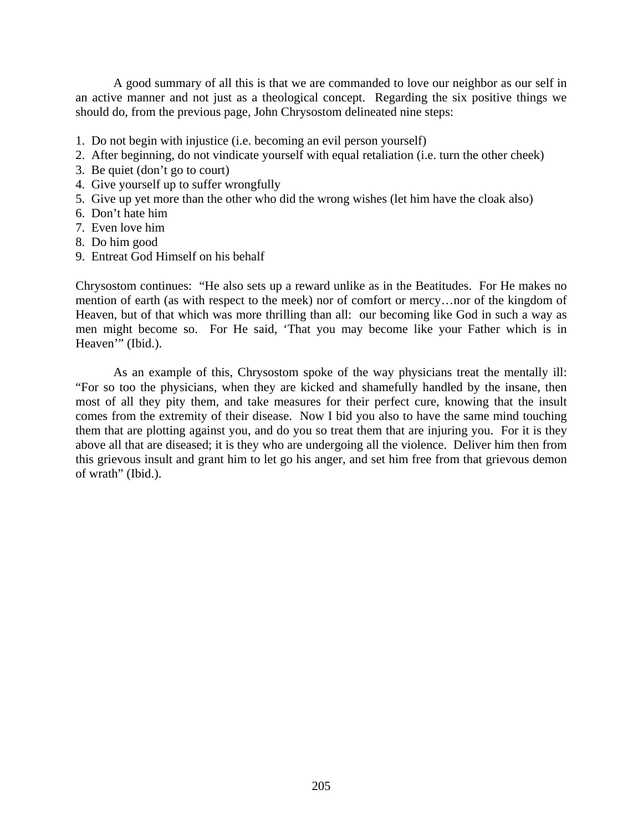A good summary of all this is that we are commanded to love our neighbor as our self in an active manner and not just as a theological concept. Regarding the six positive things we should do, from the previous page, John Chrysostom delineated nine steps:

- 1. Do not begin with injustice (i.e. becoming an evil person yourself)
- 2. After beginning, do not vindicate yourself with equal retaliation (i.e. turn the other cheek)
- 3. Be quiet (don't go to court)
- 4. Give yourself up to suffer wrongfully
- 5. Give up yet more than the other who did the wrong wishes (let him have the cloak also)
- 6. Don't hate him
- 7. Even love him
- 8. Do him good
- 9. Entreat God Himself on his behalf

Chrysostom continues: "He also sets up a reward unlike as in the Beatitudes. For He makes no mention of earth (as with respect to the meek) nor of comfort or mercy…nor of the kingdom of Heaven, but of that which was more thrilling than all: our becoming like God in such a way as men might become so. For He said, 'That you may become like your Father which is in Heaven<sup>"</sup> (Ibid.).

 As an example of this, Chrysostom spoke of the way physicians treat the mentally ill: "For so too the physicians, when they are kicked and shamefully handled by the insane, then most of all they pity them, and take measures for their perfect cure, knowing that the insult comes from the extremity of their disease. Now I bid you also to have the same mind touching them that are plotting against you, and do you so treat them that are injuring you. For it is they above all that are diseased; it is they who are undergoing all the violence. Deliver him then from this grievous insult and grant him to let go his anger, and set him free from that grievous demon of wrath" (Ibid.).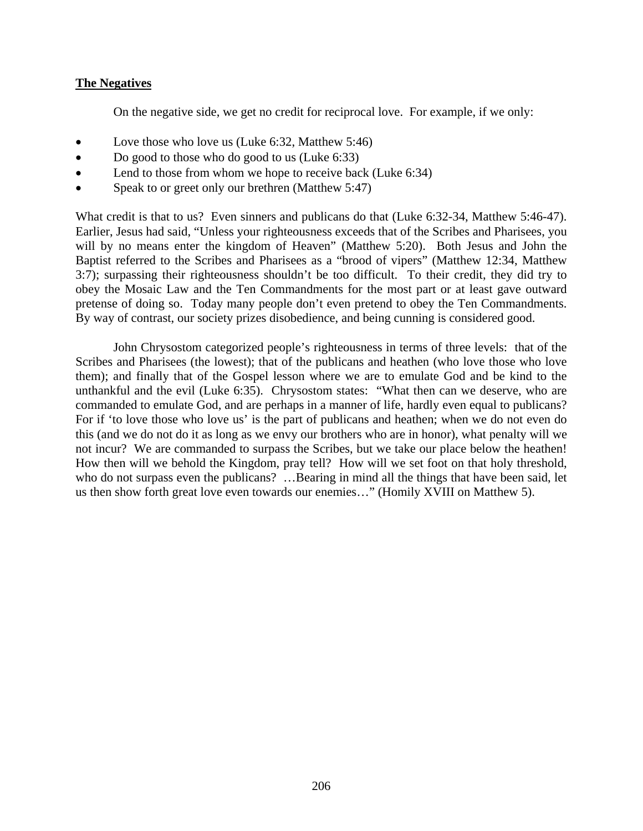## **The Negatives**

On the negative side, we get no credit for reciprocal love. For example, if we only:

- Love those who love us (Luke 6:32, Matthew 5:46)
- Do good to those who do good to us (Luke 6:33)
- Lend to those from whom we hope to receive back (Luke 6:34)
- Speak to or greet only our brethren (Matthew 5:47)

What credit is that to us? Even sinners and publicans do that (Luke 6:32-34, Matthew 5:46-47). Earlier, Jesus had said, "Unless your righteousness exceeds that of the Scribes and Pharisees, you will by no means enter the kingdom of Heaven" (Matthew 5:20). Both Jesus and John the Baptist referred to the Scribes and Pharisees as a "brood of vipers" (Matthew 12:34, Matthew 3:7); surpassing their righteousness shouldn't be too difficult. To their credit, they did try to obey the Mosaic Law and the Ten Commandments for the most part or at least gave outward pretense of doing so. Today many people don't even pretend to obey the Ten Commandments. By way of contrast, our society prizes disobedience, and being cunning is considered good.

 John Chrysostom categorized people's righteousness in terms of three levels: that of the Scribes and Pharisees (the lowest); that of the publicans and heathen (who love those who love them); and finally that of the Gospel lesson where we are to emulate God and be kind to the unthankful and the evil (Luke 6:35). Chrysostom states: "What then can we deserve, who are commanded to emulate God, and are perhaps in a manner of life, hardly even equal to publicans? For if 'to love those who love us' is the part of publicans and heathen; when we do not even do this (and we do not do it as long as we envy our brothers who are in honor), what penalty will we not incur? We are commanded to surpass the Scribes, but we take our place below the heathen! How then will we behold the Kingdom, pray tell? How will we set foot on that holy threshold, who do not surpass even the publicans? ...Bearing in mind all the things that have been said, let us then show forth great love even towards our enemies…" (Homily XVIII on Matthew 5).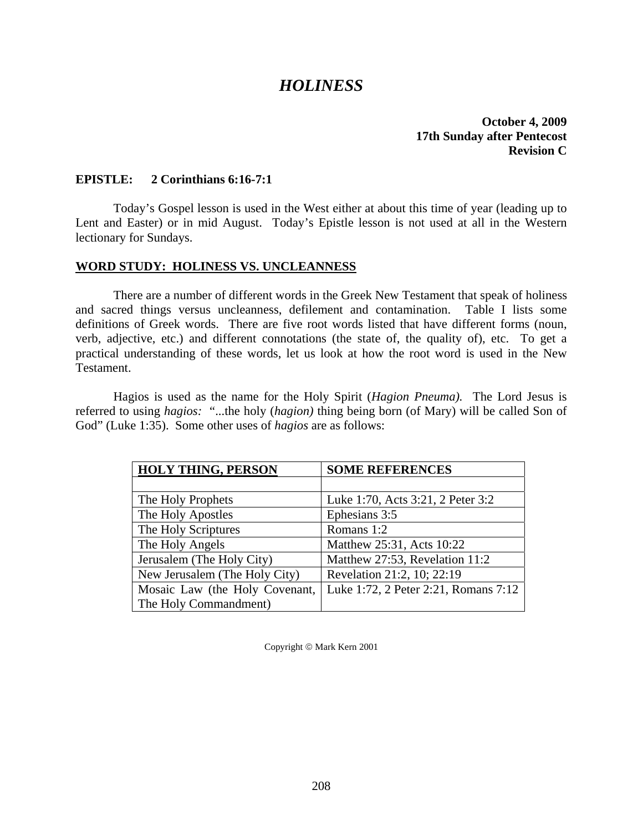## *HOLINESS*

**October 4, 2009 17th Sunday after Pentecost Revision C** 

## **EPISTLE: 2 Corinthians 6:16-7:1**

 Today's Gospel lesson is used in the West either at about this time of year (leading up to Lent and Easter) or in mid August. Today's Epistle lesson is not used at all in the Western lectionary for Sundays.

### **WORD STUDY: HOLINESS VS. UNCLEANNESS**

 There are a number of different words in the Greek New Testament that speak of holiness and sacred things versus uncleanness, defilement and contamination. Table I lists some definitions of Greek words. There are five root words listed that have different forms (noun, verb, adjective, etc.) and different connotations (the state of, the quality of), etc. To get a practical understanding of these words, let us look at how the root word is used in the New Testament.

 Hagios is used as the name for the Holy Spirit (*Hagion Pneuma).* The Lord Jesus is referred to using *hagios:* "...the holy (*hagion)* thing being born (of Mary) will be called Son of God" (Luke 1:35). Some other uses of *hagios* are as follows:

| <b>HOLY THING, PERSON</b>      | <b>SOME REFERENCES</b>               |
|--------------------------------|--------------------------------------|
|                                |                                      |
| The Holy Prophets              | Luke 1:70, Acts 3:21, 2 Peter 3:2    |
| The Holy Apostles              | Ephesians 3:5                        |
| The Holy Scriptures            | Romans 1:2                           |
| The Holy Angels                | Matthew 25:31, Acts 10:22            |
| Jerusalem (The Holy City)      | Matthew 27:53, Revelation 11:2       |
| New Jerusalem (The Holy City)  | Revelation 21:2, 10; 22:19           |
| Mosaic Law (the Holy Covenant, | Luke 1:72, 2 Peter 2:21, Romans 7:12 |
| The Holy Commandment)          |                                      |

Copyright © Mark Kern 2001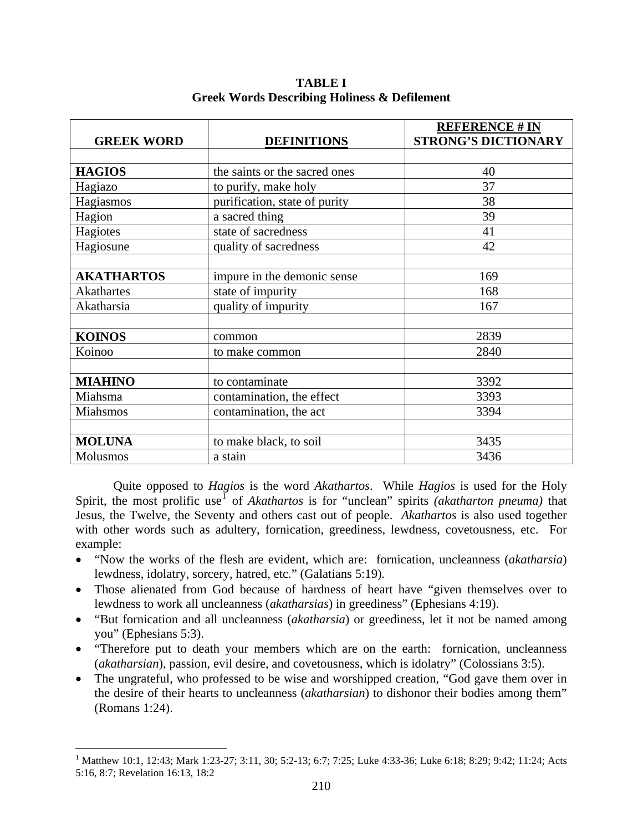| <b>GREEK WORD</b> | <b>DEFINITIONS</b>            | <b>REFERENCE # IN</b><br><b>STRONG'S DICTIONARY</b> |
|-------------------|-------------------------------|-----------------------------------------------------|
|                   |                               |                                                     |
| <b>HAGIOS</b>     | the saints or the sacred ones | 40                                                  |
| Hagiazo           | to purify, make holy          | 37                                                  |
| Hagiasmos         | purification, state of purity | 38                                                  |
| Hagion            | a sacred thing                | 39                                                  |
| Hagiotes          | state of sacredness           | 41                                                  |
| Hagiosune         | quality of sacredness         | 42                                                  |
|                   |                               |                                                     |
| <b>AKATHARTOS</b> | impure in the demonic sense   | 169                                                 |
| <b>Akathartes</b> | state of impurity             | 168                                                 |
| Akatharsia        | quality of impurity           | 167                                                 |
|                   |                               |                                                     |
| <b>KOINOS</b>     | common                        | 2839                                                |
| Koinoo            | to make common                | 2840                                                |
|                   |                               |                                                     |
| <b>MIAHINO</b>    | to contaminate                | 3392                                                |
| Miahsma           | contamination, the effect     | 3393                                                |
| Miahsmos          | contamination, the act        | 3394                                                |
|                   |                               |                                                     |
| <b>MOLUNA</b>     | to make black, to soil        | 3435                                                |
| Molusmos          | a stain                       | 3436                                                |

**TABLE I Greek Words Describing Holiness & Defilement** 

 Quite opposed to *Hagios* is the word *Akathartos*. While *Hagios* is used for the Holy Spirit, the most prolific use<sup>[1](#page-6-0)</sup> of *Akathartos* is for "unclean" spirits *(akatharton pneuma)* that Jesus, the Twelve, the Seventy and others cast out of people. *Akathartos* is also used together with other words such as adultery, fornication, greediness, lewdness, covetousness, etc. For example:

- "Now the works of the flesh are evident, which are: fornication, uncleanness (*akatharsia*) lewdness, idolatry, sorcery, hatred, etc." (Galatians 5:19)*.*
- Those alienated from God because of hardness of heart have "given themselves over to lewdness to work all uncleanness (*akatharsias*) in greediness" (Ephesians 4:19).
- "But fornication and all uncleanness (*akatharsia*) or greediness, let it not be named among you" (Ephesians 5:3).
- "Therefore put to death your members which are on the earth: fornication, uncleanness (*akatharsian*), passion, evil desire, and covetousness, which is idolatry" (Colossians 3:5).
- The ungrateful, who professed to be wise and worshipped creation, "God gave them over in the desire of their hearts to uncleanness (*akatharsian*) to dishonor their bodies among them" (Romans 1:24).

 $\overline{a}$ 

<span id="page-6-0"></span><sup>&</sup>lt;sup>1</sup> Matthew 10:1, 12:43; Mark 1:23-27; 3:11, 30; 5:2-13; 6:7; 7:25; Luke 4:33-36; Luke 6:18; 8:29; 9:42; 11:24; Acts 5:16, 8:7; Revelation 16:13, 18:2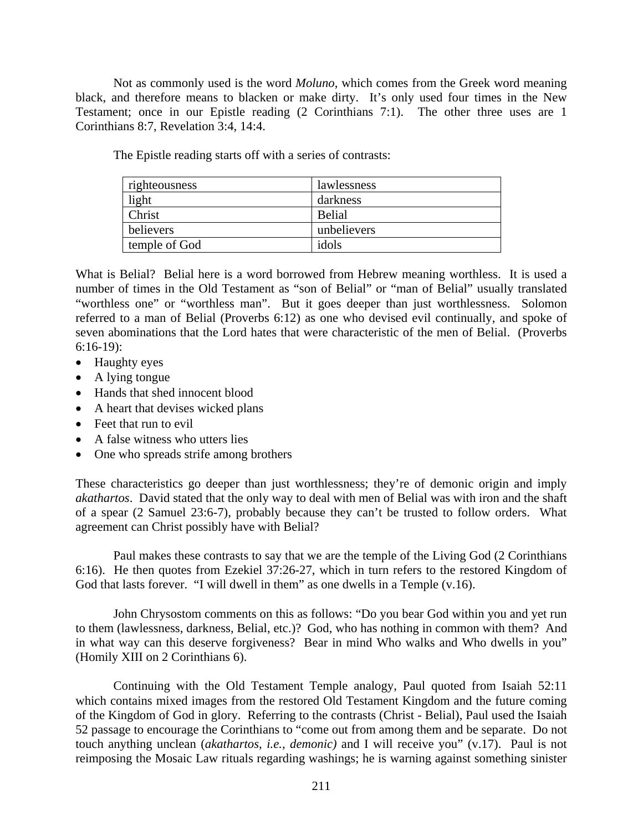Not as commonly used is the word *Moluno*, which comes from the Greek word meaning black, and therefore means to blacken or make dirty. It's only used four times in the New Testament; once in our Epistle reading (2 Corinthians 7:1). The other three uses are 1 Corinthians 8:7, Revelation 3:4, 14:4.

The Epistle reading starts off with a series of contrasts:

| righteousness | lawlessness   |
|---------------|---------------|
| light         | darkness      |
| Christ        | <b>Belial</b> |
| believers     | unbelievers   |
| temple of God | idols         |

What is Belial? Belial here is a word borrowed from Hebrew meaning worthless. It is used a number of times in the Old Testament as "son of Belial" or "man of Belial" usually translated "worthless one" or "worthless man". But it goes deeper than just worthlessness. Solomon referred to a man of Belial (Proverbs 6:12) as one who devised evil continually, and spoke of seven abominations that the Lord hates that were characteristic of the men of Belial. (Proverbs 6:16-19):

- Haughty eyes
- A lying tongue
- Hands that shed innocent blood
- A heart that devises wicked plans
- Feet that run to evil
- A false witness who utters lies
- One who spreads strife among brothers

These characteristics go deeper than just worthlessness; they're of demonic origin and imply *akathartos*. David stated that the only way to deal with men of Belial was with iron and the shaft of a spear (2 Samuel 23:6-7), probably because they can't be trusted to follow orders. What agreement can Christ possibly have with Belial?

 Paul makes these contrasts to say that we are the temple of the Living God (2 Corinthians 6:16). He then quotes from Ezekiel 37:26-27, which in turn refers to the restored Kingdom of God that lasts forever. "I will dwell in them" as one dwells in a Temple (v.16).

 John Chrysostom comments on this as follows: "Do you bear God within you and yet run to them (lawlessness, darkness, Belial, etc.)? God, who has nothing in common with them? And in what way can this deserve forgiveness? Bear in mind Who walks and Who dwells in you" (Homily XIII on 2 Corinthians 6).

 Continuing with the Old Testament Temple analogy, Paul quoted from Isaiah 52:11 which contains mixed images from the restored Old Testament Kingdom and the future coming of the Kingdom of God in glory. Referring to the contrasts (Christ - Belial), Paul used the Isaiah 52 passage to encourage the Corinthians to "come out from among them and be separate. Do not touch anything unclean (*akathartos, i.e., demonic)* and I will receive you" (v.17). Paul is not reimposing the Mosaic Law rituals regarding washings; he is warning against something sinister